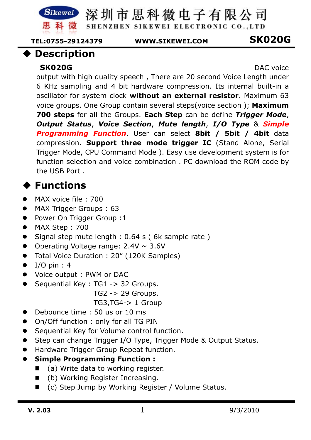SHENZHEN SIKEWEI ELECTRONIC CO., LTD

 **TEL:0755-29124379 WWW.SIKEWEI.COM SK020G** 

#### **Description**

SK020G<br>
DAC voice

output with high quality speech , There are 20 second Voice Length under 6 KHz sampling and 4 bit hardware compression. Its internal built-in a oscillator for system clock **without an external resistor**. Maximum 63 voice groups. One Group contain several steps(voice section ); **Maximum 700 steps** for all the Groups. **Each Step** can be define *Trigger Mode*, *Output Status*, *Voice Section*, *Mute length*, *I/O Type* & *Simple Programming Function*. User can select **8bit / 5bit / 4bit** data compression. **Support three mode trigger IC** (Stand Alone, Serial Trigger Mode, CPU Command Mode ). Easy use development system is for function selection and voice combination . PC download the ROM code by the USB Port .

## **Functions**

- $\bullet$ MAX voice file : 700
- $\bullet$ MAX Trigger Groups : 63
- $\bullet$ Power On Trigger Group :1
- $\bullet$ MAX Step : 700
- $\bullet$ Signal step mute length : 0.64 s ( 6k sample rate )
- $\bullet$ Operating Voltage range:  $2.4V \sim 3.6V$
- $\bullet$ Total Voice Duration : 20" (120K Samples)
- $\bullet$ I/O pin : 4
- $\bullet$ Voice output : PWM or DAC
- $\bullet$  Sequential Key : TG1 -> 32 Groups.
	- TG2 -> 29 Groups.
	- TG3,TG4-> 1 Group
- $\bullet$ Debounce time : 50 us or 10 ms
- $\bullet$ On/Off function : only for all TG PIN
- $\bullet$ Sequential Key for Volume control function.
- $\bullet$ Step can change Trigger I/O Type, Trigger Mode & Output Status.
- $\bullet$ Hardware Trigger Group Repeat function.
- $\bullet$  **Simple Programming Function :** 
	- (a) Write data to working register.
	- (b) Working Register Increasing.
	- (c) Step Jump by Working Register / Volume Status.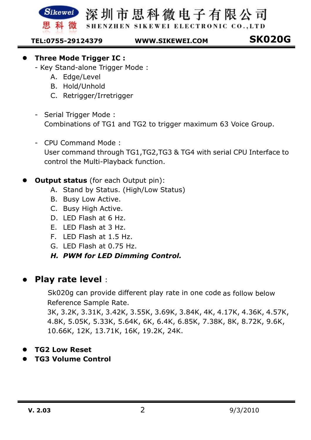

SHENZHEN SIKEWEI ELECTRONIC CO., LTD

 **TEL:0755-29124379 WWW.SIKEWEI.COM SK020G** 

- $\bullet$  **Three Mode Trigger IC :** 
	- Key Stand-alone Trigger Mode :
		- A. Edge/Level
		- B. Hold/Unhold
		- C. Retrigger/Irretrigger
	- Serial Trigger Mode : Combinations of TG1 and TG2 to trigger maximum 63 Voice Group.
	- CPU Command Mode : User command through TG1,TG2,TG3 & TG4 with serial CPU Interface to control the Multi-Playback function.
- $\bullet$ **Output status** (for each Output pin):
	- A. Stand by Status. (High/Low Status)
	- B. Busy Low Active.
	- C. Busy High Active.
	- D. LED Flash at 6 Hz.
	- E. LED Flash at 3 Hz.
	- F. LED Flash at 1.5 Hz.
	- G. LED Flash at 0.75 Hz.
	- *H. PWM for LED Dimming Control.*

#### $\bullet$ **Play rate level** :

 Sk020g can provide different play rate in one code as follow below Reference Sample Rate.

3K, 3.2K, 3.31K, 3.42K, 3.55K, 3.69K, 3.84K, 4K, 4.17K, 4.36K, 4.57K, 4.8K, 5.05K, 5.33K, 5.64K, 6K, 6.4K, 6.85K, 7.38K, 8K, 8.72K, 9.6K, 10.66K, 12K, 13.71K, 16K, 19.2K, 24K.

- $\bullet$ **TG2 Low Reset**
- $\bullet$ **TG3 Volume Control**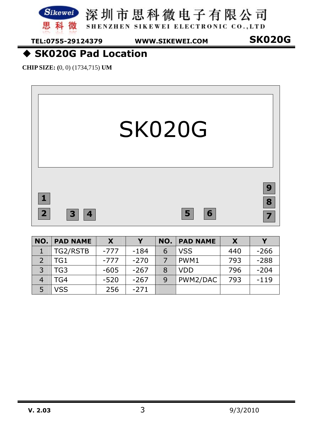

思科微 SHENZHEN SIKEWEI ELECTRONIC CO., LTD

**TEL:0755-29124379 WWW.SIKEWEI.COM SK020G** 

### **SK020G Pad Location**

**CHIP SIZE: (**0, 0) (1734,715) **UM** 



| NO.          | <b>PAD NAME</b> | X      |        | NO. | <b>PAD NAME</b> |     |        |
|--------------|-----------------|--------|--------|-----|-----------------|-----|--------|
|              | TG2/RSTB        | $-777$ | $-184$ | 6   | <b>VSS</b>      | 440 | $-266$ |
|              | TG1             | $-777$ | $-270$ |     | PWM1            | 793 | $-288$ |
| $\mathbf{R}$ | TG3             | $-605$ | $-267$ | 8   | <b>VDD</b>      | 796 | $-204$ |
|              | TG4             | $-520$ | $-267$ | 9   | PWM2/DAC        | 793 | $-119$ |
| 5            | <b>VSS</b>      | 256    | $-271$ |     |                 |     |        |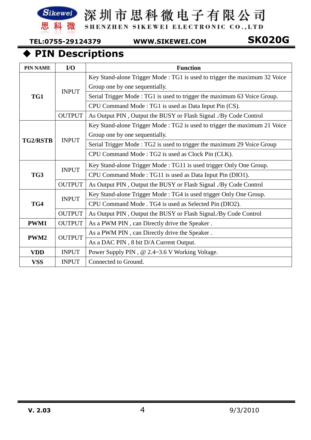

SHENZHEN SIKEWEI ELECTRONIC CO., LTD

 **TEL:0755-29124379 WWW.SIKEWEI.COM SK020G** 

### **PIN Descriptions**

| <b>PIN NAME</b> | I/O           | <b>Function</b>                                                           |  |  |  |  |
|-----------------|---------------|---------------------------------------------------------------------------|--|--|--|--|
|                 |               | Key Stand-alone Trigger Mode: TG1 is used to trigger the maximum 32 Voice |  |  |  |  |
|                 | <b>INPUT</b>  | Group one by one sequentially.                                            |  |  |  |  |
| TG1             |               | Serial Trigger Mode: TG1 is used to trigger the maximum 63 Voice Group.   |  |  |  |  |
|                 |               | CPU Command Mode: TG1 is used as Data Input Pin (CS).                     |  |  |  |  |
|                 | <b>OUTPUT</b> | As Output PIN, Output the BUSY or Flash Signal ./By Code Control          |  |  |  |  |
|                 |               | Key Stand-alone Trigger Mode: TG2 is used to trigger the maximum 21 Voice |  |  |  |  |
|                 | <b>INPUT</b>  | Group one by one sequentially.                                            |  |  |  |  |
| <b>TG2/RSTB</b> |               | Serial Trigger Mode: TG2 is used to trigger the maximum 29 Voice Group    |  |  |  |  |
|                 |               | CPU Command Mode: TG2 is used as Clock Pin (CLK).                         |  |  |  |  |
|                 | <b>INPUT</b>  | Key Stand-alone Trigger Mode: TG11 is used trigger Only One Group.        |  |  |  |  |
| TG3             |               | CPU Command Mode: TG11 is used as Data Input Pin (DIO1).                  |  |  |  |  |
|                 | <b>OUTPUT</b> | As Output PIN, Output the BUSY or Flash Signal ./By Code Control          |  |  |  |  |
|                 | <b>INPUT</b>  | Key Stand-alone Trigger Mode: TG4 is used trigger Only One Group.         |  |  |  |  |
| TG4             |               | CPU Command Mode . TG4 is used as Selected Pin (DIO2).                    |  |  |  |  |
|                 | <b>OUTPUT</b> | As Output PIN, Output the BUSY or Flash Signal./By Code Control           |  |  |  |  |
| <b>PWM1</b>     | <b>OUTPUT</b> | As a PWM PIN, can Directly drive the Speaker.                             |  |  |  |  |
| PWM2            | <b>OUTPUT</b> | As a PWM PIN, can Directly drive the Speaker.                             |  |  |  |  |
|                 |               | As a DAC PIN, 8 bit D/A Current Output.                                   |  |  |  |  |
| <b>VDD</b>      | <b>INPUT</b>  | Power Supply PIN, @ 2.4~3.6 V Working Voltage.                            |  |  |  |  |
| <b>VSS</b>      | <b>INPUT</b>  | Connected to Ground.                                                      |  |  |  |  |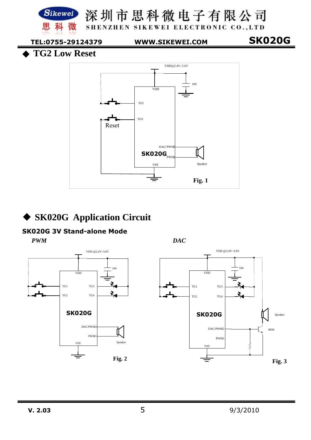

### **SK020G Application Circuit**

#### **SK020G 3V Stand-alone Mode**

*PWM DAC* 



![](_page_4_Figure_6.jpeg)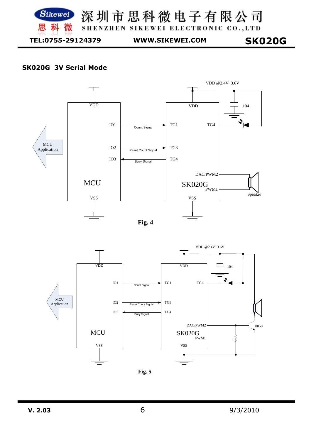![](_page_5_Picture_0.jpeg)

**SK020G TEL:0755-29124379 WWW.SIKEWEI.COM** 

#### **SK020G 3V Serial Mode**

![](_page_5_Figure_4.jpeg)

![](_page_5_Figure_5.jpeg)

![](_page_5_Figure_6.jpeg)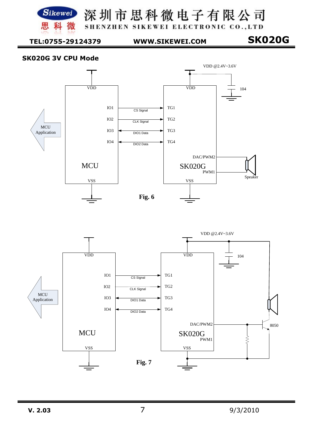![](_page_6_Picture_0.jpeg)

SHENZHEN SIKEWEI ELECTRONIC CO., LTD

 **TEL:0755-29124379 WWW.SIKEWEI.COM SK020G** 

#### **SK020G 3V CPU Mode**

![](_page_6_Figure_7.jpeg)

![](_page_6_Figure_8.jpeg)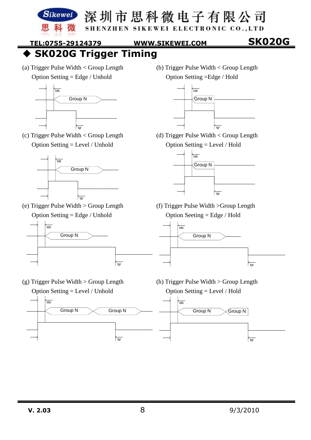![](_page_7_Picture_0.jpeg)

SHENZHEN SIKEWEI ELECTRONIC CO., LTD

 **TEL:0755-29124379 WWW.SIKEWEI.COM SK020G** 

**SK020G Trigger Timing** 

(a) Trigger Pulse Width < Group Length Option Setting = Edge / Unhold

![](_page_7_Figure_8.jpeg)

(c) Trigger Pulse Width < Group Length Option Setting = Level / Unhold

![](_page_7_Figure_10.jpeg)

(e) Trigger Pulse Width > Group Length Option Setting = Edge / Unhold

![](_page_7_Figure_12.jpeg)

(g) Trigger Pulse Width > Group Length Option Setting = Level / Unhold

(b) Trigger Pulse Width < Group Length Option Setting =Edge / Hold

![](_page_7_Figure_15.jpeg)

(d) Trigger Pulse Width < Group Length Option Setting = Level / Hold

![](_page_7_Figure_17.jpeg)

(f) Trigger Pulse Width >Group Length Option Seeting = Edge / Hold

![](_page_7_Figure_19.jpeg)

(h) Trigger Pulse Width > Group Length Option Setting = Level / Hold

![](_page_7_Figure_21.jpeg)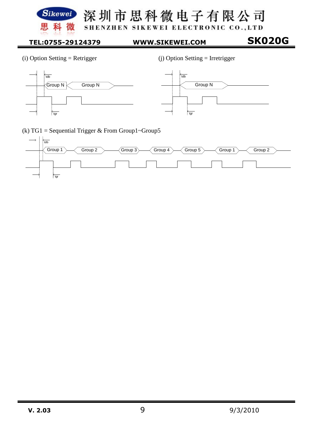![](_page_8_Picture_0.jpeg)

深圳市思科微电子有限公司 SHENZHEN SIKEWEI ELECTRONIC CO., LTD

 **TEL:0755-29124379 WWW.SIKEWEI.COM SK020G** 

![](_page_8_Figure_4.jpeg)

(i) Option Setting = Retrigger (j) Option Setting = Irretrigger

![](_page_8_Figure_7.jpeg)

![](_page_8_Figure_8.jpeg)

(k) TG1 = Sequential Trigger & From Group1~Group5

![](_page_8_Figure_10.jpeg)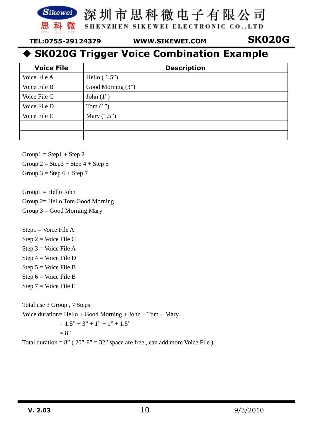![](_page_9_Picture_0.jpeg)

SHENZHEN SIKEWEI ELECTRONIC CO., LTD

 **TEL:0755-29124379 WWW.SIKEWEI.COM SK020G** 

### **SK020G Trigger Voice Combination Example**

| <b>Voice File</b> | <b>Description</b> |
|-------------------|--------------------|
| Voice File A      | Hello $(1.5")$     |
| Voice File B      | Good Morning (3")  |
| Voice File C      | John $(1")$        |
| Voice File D      | Tom $(1")$         |
| Voice File E      | Mary $(1.5")$      |
|                   |                    |
|                   |                    |

 $Group1 = Step1 + Step2$ 

Group  $2 =$  Step  $3 +$  Step  $4 +$  Step  $5$ 

Group  $3 =$  Step  $6 +$  Step  $7$ 

Group1 = Hello John Group 2= Hello Tom Good Morning Group  $3 =$  Good Morning Mary

 $Step 1 = Voice File A$ Step 2 = Voice File C

Step  $3 = \text{Voice File A}$ Step 4 = Voice File D Step  $5 = \text{Voice File } B$ Step  $6 = \text{Voice File } B$ Step 7 = Voice File E

Total use 3 Group , 7 Steps Voice duration= Hello + Good Morning + John + Tom + Mary  $= 1.5" + 3" + 1" + 1" + 1.5"$  $= 8"$ 

Total duration =  $8''$  ( $20'' - 8'' = 32''$  space are free, can add more Voice File)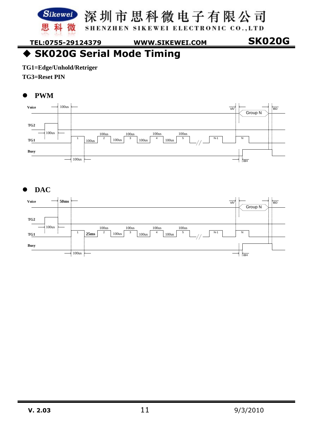SHENZHEN SIKEWEI ELECTRONIC CO., LTD

 **TEL:0755-29124379 WWW.SIKEWEI.COM SK020G** 

### ◆ SK020G Serial Mode Timing

**TG1=Edge/Unhold/Retriger** 

科 微

**TG3=Reset PIN** 

黒

#### $\bullet$ **PWM**

![](_page_10_Figure_8.jpeg)

#### $\bullet$ **DAC**

![](_page_10_Figure_10.jpeg)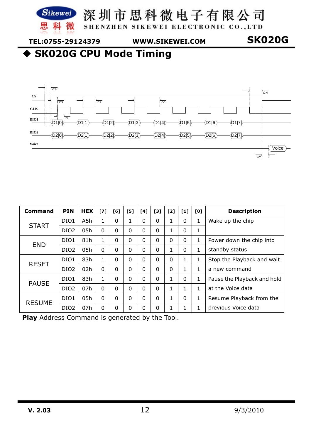![](_page_11_Picture_0.jpeg)

SHENZHEN SIKEWEI ELECTRONIC CO., LTD

 **TEL:0755-29124379 WWW.SIKEWEI.COM SK020G** 

**SK020G CPU Mode Timing** 

![](_page_11_Figure_7.jpeg)

| Command       | <b>PIN</b>       | <b>HEX</b> | [7]          | [6]      | [5]      | [4]      | [3]      | [2]      | $[1]$    | [0]                        | <b>Description</b>          |
|---------------|------------------|------------|--------------|----------|----------|----------|----------|----------|----------|----------------------------|-----------------------------|
|               | DIO <sub>1</sub> | A5h        |              | 0        |          | 0        | $\Omega$ | 1        | 0        | 1                          | Wake up the chip            |
| <b>START</b>  | DIO <sub>2</sub> | 05h        | $\Omega$     | $\Omega$ | $\Omega$ | 0        | $\Omega$ |          | 0        | 1                          |                             |
| <b>END</b>    | DIO1             | 81h        | $\mathbf{1}$ | 0        | $\Omega$ | 0        | $\Omega$ | $\Omega$ | 0        | 1                          | Power down the chip into    |
|               | DIO <sub>2</sub> | 05h        | $\Omega$     | $\Omega$ | $\Omega$ | 0        | $\Omega$ |          | $\Omega$ | 1                          | standby status              |
| <b>RESET</b>  | 83h<br>DIO1<br>0 |            |              | $\Omega$ | 0        | $\Omega$ | $\Omega$ | 1        | 1        | Stop the Playback and wait |                             |
|               | DIO <sub>2</sub> | 02h        | $\Omega$     | $\Omega$ | $\Omega$ | 0        | $\Omega$ | $\Omega$ | 1        | 1                          | a new command               |
| <b>PAUSE</b>  | DIO1             | 83h        |              | $\Omega$ | $\Omega$ | 0        | $\Omega$ |          | 0        | 1                          | Pause the Playback and hold |
|               | DIO <sub>2</sub> | 07h        | $\Omega$     | $\Omega$ | $\Omega$ | 0        | $\Omega$ |          | 1        | $\mathbf{1}$               | at the Voice data           |
| <b>RESUME</b> | DIO1             | 05h        | $\Omega$     | $\Omega$ | $\Omega$ | 0        | $\Omega$ | 1        | $\Omega$ | 1                          | Resume Playback from the    |
|               | DIO <sub>2</sub> | 07h        | 0            | 0        | 0        | 0        | $\Omega$ | 1        | 1        | 1                          | previous Voice data         |

**Play** Address Command is generated by the Tool.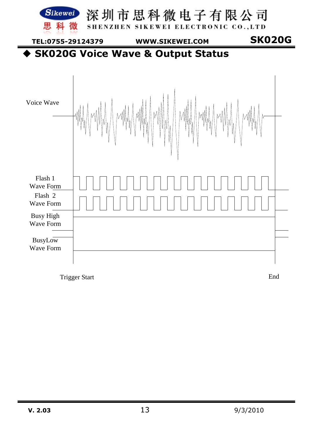![](_page_12_Figure_0.jpeg)

Trigger Start End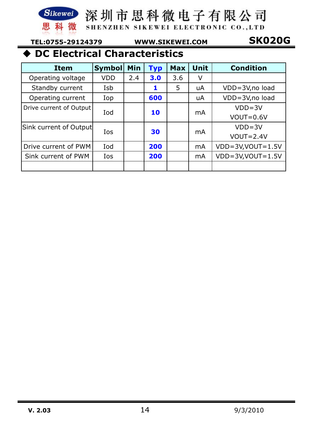![](_page_13_Picture_0.jpeg)

SHENZHEN SIKEWEI ELECTRONIC CO., LTD

 **TEL:0755-29124379 WWW.SIKEWEI.COM SK020G** 

## **DC Electrical Characteristics**

| <b>Item</b>             | <b>Symbol</b> | Min | <b>Typ</b> | <b>Max</b> | <b>Unit</b>    | <b>Condition</b>           |
|-------------------------|---------------|-----|------------|------------|----------------|----------------------------|
| Operating voltage       | <b>VDD</b>    | 2.4 | 3.0        | 3.6        | V              |                            |
| Standby current         | Isb           |     | 1          | 5          | uA             | VDD=3V,no load             |
| Operating current       | Iop           |     | 600        |            | uA             | VDD=3V, no load            |
| Drive current of Output | Iod           |     | 10         |            | m <sub>A</sub> | $VDD = 3V$                 |
|                         |               |     |            |            |                | $VOUT=0.6V$                |
| Sink current of Output  | Ios           | 30  |            |            |                | $VDD = 3V$                 |
|                         |               |     |            |            | m <sub>A</sub> | $VOUT=2.4V$                |
| Drive current of PWM    | Iod           |     | 200        |            | mA             | $VDD=3V$ , $VOUT=1.5V$     |
| Sink current of PWM     | Ios           |     | 200        |            | mA             | $VDD = 3V$ , $VOUT = 1.5V$ |
|                         |               |     |            |            |                |                            |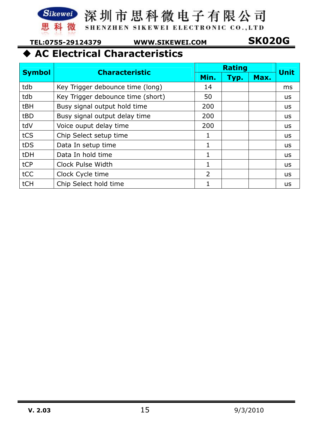![](_page_14_Picture_0.jpeg)

SHENZHEN SIKEWEI ELECTRONIC CO., LTD

 **TEL:0755-29124379 WWW.SIKEWEI.COM SK020G** 

## **AC Electrical Characteristics**

|               | <b>Characteristic</b>             |                | <b>Rating</b> |      |             |  |  |
|---------------|-----------------------------------|----------------|---------------|------|-------------|--|--|
| <b>Symbol</b> |                                   | Min.           | Typ.          | Max. | <b>Unit</b> |  |  |
| tdb           | Key Trigger debounce time (long)  | 14             |               |      | ms          |  |  |
| tdb           | Key Trigger debounce time (short) | 50             |               |      | <b>us</b>   |  |  |
| tBH           | Busy signal output hold time      | 200            |               |      | us          |  |  |
| tBD           | Busy signal output delay time     | 200            |               |      | <b>us</b>   |  |  |
| tdV           | Voice ouput delay time            | 200            |               |      | us          |  |  |
| tCS           | Chip Select setup time            | 1              |               |      | us          |  |  |
| tDS           | Data In setup time                | 1              |               |      | <b>us</b>   |  |  |
| tDH           | Data In hold time                 | 1              |               |      | <b>us</b>   |  |  |
| tCP           | Clock Pulse Width                 | 1              |               |      | us          |  |  |
| tCC           | Clock Cycle time                  | $\overline{2}$ |               |      | <b>us</b>   |  |  |
| tCH           | Chip Select hold time             | 1              |               |      | <b>us</b>   |  |  |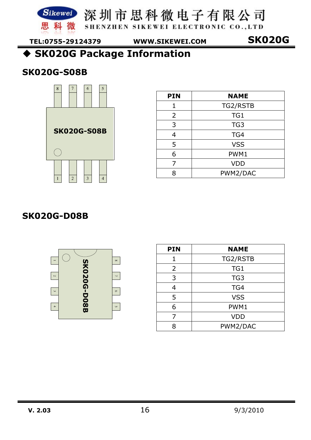![](_page_15_Picture_0.jpeg)

思科微 shenzhen sikewei electronic co..LTD

 **TEL:0755-29124379 WWW.SIKEWEI.COM SK020G** 

**SK020G Package Information** 

#### **SK020G-S08B**

![](_page_15_Picture_8.jpeg)

| <b>PIN</b>     | <b>NAME</b>     |
|----------------|-----------------|
| 1              | TG2/RSTB        |
| $\overline{2}$ | TG1             |
| 3              | TG <sub>3</sub> |
| $\overline{4}$ | TG4             |
| 5              | <b>VSS</b>      |
| 6              | PWM1            |
| 7              | <b>VDD</b>      |
|                | PWM2/DAC        |

#### **SK020G-D08B**

![](_page_15_Figure_11.jpeg)

| <b>PIN</b>     | <b>NAME</b>     |
|----------------|-----------------|
| 1              | TG2/RSTB        |
| $\overline{2}$ | TG1             |
| 3              | TG <sub>3</sub> |
| 4              | TG4             |
| 5              | <b>VSS</b>      |
| 6              | PWM1            |
| 7              | <b>VDD</b>      |
| R              | PWM2/DAC        |